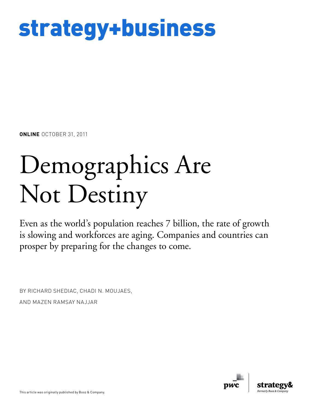# strategy+business

**ONLINE** OCTOBER 31, 2011

# Demographics Are Not Destiny

Even as the world's population reaches 7 billion, the rate of growth is slowing and workforces are aging. Companies and countries can prosper by preparing for the changes to come.

BY RICHARD SHEDIAC, CHADI N. MOUJAES, AND MAZEN RAMSAY NAJJAR

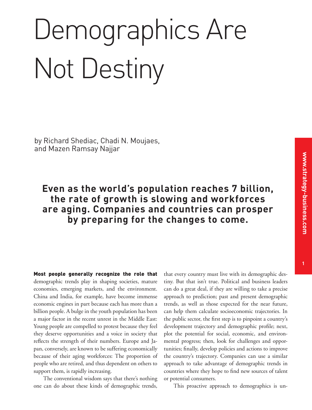# Demographics Are Not Destiny

by Richard Shediac, Chadi N. Moujaes, and Mazen Ramsay Najjar

# **Even as the world's population reaches 7 billion, the rate of growth is slowing and workforces are aging. Companies and countries can prosper by preparing for the changes to come.**

Most people generally recognize the role that demographic trends play in shaping societies, mature economies, emerging markets, and the environment. China and India, for example, have become immense economic engines in part because each has more than a billion people. A bulge in the youth population has been a major factor in the recent unrest in the Middle East: Young people are compelled to protest because they feel they deserve opportunities and a voice in society that reflects the strength of their numbers. Europe and Japan, conversely, are known to be suffering economically because of their aging workforces: The proportion of people who are retired, and thus dependent on others to support them, is rapidly increasing.

The conventional wisdom says that there's nothing one can do about these kinds of demographic trends,

that every country must live with its demographic destiny. But that isn't true. Political and business leaders can do a great deal, if they are willing to take a precise approach to prediction; past and present demographic trends, as well as those expected for the near future, can help them calculate socioeconomic trajectories. In the public sector, the first step is to pinpoint a country's development trajectory and demographic profile; next, plot the potential for social, economic, and environmental progress; then, look for challenges and opportunities; finally, develop policies and actions to improve the country's trajectory. Companies can use a similar approach to take advantage of demographic trends in countries where they hope to find new sources of talent or potential consumers.

This proactive approach to demographics is un-

**1**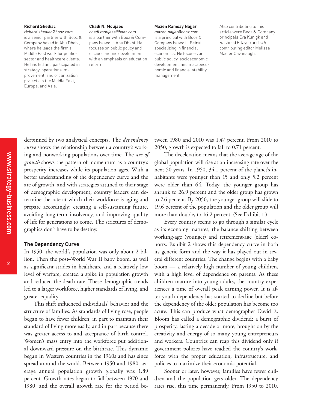#### **Richard Shediac**

*richard.shediac@booz.com* is a senior partner with Booz & Company based in Abu Dhabi, where he leads the firm's Middle East work for publicsector and healthcare clients. He has led and participated in strategy, operations improvement, and organization projects in the Middle East, Europe, and Asia.

#### **Chadi N. Moujaes**

*chadi.moujaes@booz.com* is a partner with Booz & Company based in Abu Dhabi. He focuses on public policy and socioeconomic development, with an emphasis on education reform.

#### **Mazen Ramsay Najjar**

*mazen.najjar@booz.com* is a principal with Booz & Company based in Beirut, specializing in financial economics. He focuses on public policy, socioeconomic development, and macroeconomic and financial stability management.

Also contributing to this article were Booz & Company principals Eva Kunigk and Rasheed Eltayeb and *s+b* contributing editor Melissa Master Cavanaugh.

derpinned by two analytical concepts. The *dependency curve* shows the relationship between a country's working and nonworking populations over time. The *arc of growth* shows the pattern of momentum as a country's prosperity increases while its population ages. With a better understanding of the dependency curve and the arc of growth, and with strategies attuned to their stage of demographic development, country leaders can determine the rate at which their workforce is aging and prepare accordingly: creating a self-sustaining future, avoiding long-term insolvency, and improving quality of life for generations to come. The strictures of demographics don't have to be destiny.

#### **The Dependency Curve**

In 1950, the world's population was only about 2 billion. Then the post–World War II baby boom, as well as significant strides in healthcare and a relatively low level of warfare, created a spike in population growth and reduced the death rate. These demographic trends led to a larger workforce, higher standards of living, and greater equality.

This shift influenced individuals' behavior and the structure of families. As standards of living rose, people began to have fewer children, in part to maintain their standard of living more easily, and in part because there was greater access to and acceptance of birth control. Women's mass entry into the workforce put additional downward pressure on the birthrate. This dynamic began in Western countries in the 1960s and has since spread around the world. Between 1950 and 1980, average annual population growth globally was 1.89 percent. Growth rates began to fall between 1970 and 1980, and the overall growth rate for the period between 1980 and 2010 was 1.47 percent. From 2010 to 2050, growth is expected to fall to 0.71 percent.

The deceleration means that the average age of the global population will rise at an increasing rate over the next 50 years. In 1950, 34.1 percent of the planet's inhabitants were younger than 15 and only 5.2 percent were older than 64. Today, the younger group has shrunk to 26.9 percent and the older group has grown to 7.6 percent. By 2050, the younger group will slide to 19.6 percent of the population and the older group will more than double, to 16.2 percent. (See Exhibit 1.)

Every country seems to go through a similar cycle as its economy matures, the balance shifting between working-age (younger) and retirement-age (older) cohorts. Exhibit 2 shows this dependency curve in both its generic form and the way it has played out in several different countries. The change begins with a baby boom — a relatively high number of young children, with a high level of dependence on parents. As these children mature into young adults, the country experiences a time of overall peak earning power. It is after youth dependency has started to decline but before the dependency of the older population has become too acute. This can produce what demographer David E. Bloom has called a demographic dividend: a burst of prosperity, lasting a decade or more, brought on by the creativity and energy of so many young entrepreneurs and workers. Countries can reap this dividend only if government policies have readied the country's workforce with the proper education, infrastructure, and policies to maximize their economic potential.

Sooner or later, however, families have fewer children and the population gets older. The dependency rates rise, this time permanently. From 1950 to 2010,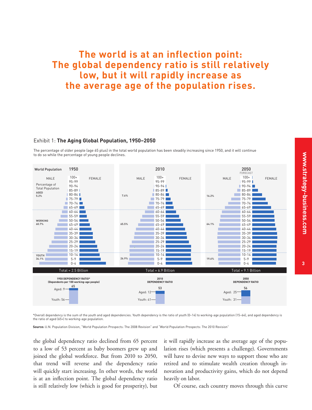# **The world is at an inflection point: The global dependency ratio is still relatively low, but it will rapidly increase as the average age of the population rises.**

#### Exhibit 1: **The Aging Global Population, 1950–2050**

The percentage of older people (age 65 plus) in the total world population has been steadily increasing since 1950, and it will continue to do so while the percentage of young people declines.



\*Overall dependency is the sum of the youth and aged dependencies. Youth dependency is the ratio of youth (0–14) to working-age population (15–64), and aged dependency is the ratio of aged (65+) to working-age population.

**Source:** U.N. Population Division, "World Population Prospects: The 2008 Revision" and "World Population Prospects: The 2010 Revision"

the global dependency ratio declined from 65 percent to a low of 53 percent as baby boomers grew up and joined the global workforce. But from 2010 to 2050, that trend will reverse and the dependency ratio will quickly start increasing. In other words, the world is at an inflection point. The global dependency ratio is still relatively low (which is good for prosperity), but

it will rapidly increase as the average age of the population rises (which presents a challenge). Governments will have to devise new ways to support those who are retired and to stimulate wealth creation through innovation and productivity gains, which do not depend heavily on labor.

Of course, each country moves through this curve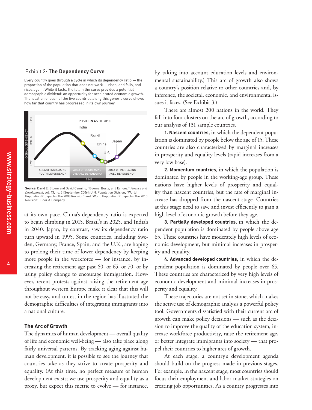Every country goes through a cycle in which its dependency ratio — the proportion of the population that does not work — rises, and falls, and rises again. While it lasts, the fall in the curve provides a potential demographic dividend: an opportunity for accelerated economic growth. The location of each of the five countries along this generic curve shows how far that country has progressed in its own journey.



**Source:** David E. Bloom and David Canning, "Booms, Busts, and Echoes," *Finance and Development,* vol. 43, no. 3 (September 2006); U.N. Population Division, "World Population Prospects: The 2008 Revision" and "World Population Prospects: The 2010 Revision"; Booz & Company

at its own pace. China's dependency ratio is expected to begin climbing in 2015, Brazil's in 2025, and India's in 2040. Japan, by contrast, saw its dependency ratio turn upward in 1995. Some countries, including Sweden, Germany, France, Spain, and the U.K., are hoping to prolong their time of lower dependency by keeping more people in the workforce — for instance, by increasing the retirement age past 60, or 65, or 70, or by using policy change to encourage immigration. However, recent protests against raising the retirement age throughout western Europe make it clear that this will not be easy, and unrest in the region has illustrated the demographic difficulties of integrating immigrants into a national culture.

#### **The Arc of Growth**

The dynamics of human development — overall quality of life and economic well-being — also take place along fairly universal patterns. By tracking aging against human development, it is possible to see the journey that countries take as they strive to create prosperity and equality. (At this time, no perfect measure of human development exists; we use prosperity and equality as a proxy, but expect this metric to evolve — for instance,

by taking into account education levels and environmental sustainability.) This arc of growth also shows a country's position relative to other countries and, by inference, the societal, economic, and environmental issues it faces. (See Exhibit 3.)

There are almost 200 nations in the world. They fall into four clusters on the arc of growth, according to our analysis of 131 sample countries.

**1. Nascent countries,** in which the dependent population is dominated by people below the age of 15. These countries are also characterized by marginal increases in prosperity and equality levels (rapid increases from a very low base).

**2. Momentum countries,** in which the population is dominated by people in the working-age group. These nations have higher levels of prosperity and equality than nascent countries, but the rate of marginal increase has dropped from the nascent stage. Countries at this stage need to save and invest efficiently to gain a high level of economic growth before they age.

**3. Partially developed countries,** in which the dependent population is dominated by people above age 65. These countries have moderately high levels of economic development, but minimal increases in prosperity and equality.

**4. Advanced developed countries,** in which the dependent population is dominated by people over 65. These countries are characterized by very high levels of economic development and minimal increases in prosperity and equality.

These trajectories are not set in stone, which makes the active use of demographic analysis a powerful policy tool. Governments dissatisfied with their current arc of growth can make policy decisions — such as the decision to improve the quality of the education system, increase workforce productivity, raise the retirement age, or better integrate immigrants into society — that propel their countries to higher arcs of growth.

At each stage, a country's development agenda should build on the progress made in previous stages. For example, in the nascent stage, most countries should focus their employment and labor market strategies on creating job opportunities. As a country progresses into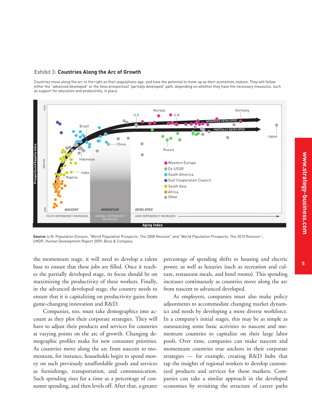#### Exhibit 3: **Countries Along the Arc of Growth**

Countries move along the arc to the right as their populations age, and have the potential to move up as their economies mature. They will follow either the "advanced developed" or the (less prosperous) "partially developed" path, depending on whether they have the necessary measures, such as support for education and productivity, in place.



**Source:** U.N. Population Division, "World Population Prospects: The 2008 Revision" and "World Population Prospects: The 2010 Revision"; UNDP, Human Development Report 2009; Booz & Company

base to ensure that these jobs are filled. Once it reaches the partially developed stage, its focus should be on maximizing the productivity of these workers. Finally, in the advanced developed stage, the country needs to ensure that it is capitalizing on productivity gains from game-changing innovation and R&D.

Companies, too, must take demographics into account as they plot their corporate strategies. They will have to adjust their products and services for countries at varying points on the arc of growth. Changing demographic profiles make for new consumer priorities. As countries move along the arc from nascent to momentum, for instance, households begin to spend money on such previously unaffordable goods and services as furnishings, transportation, and communication. Such spending rises for a time as a percentage of consumer spending, and then levels off. After that, a greater

**<sup>5</sup>** the momentum stage, it will need to develop a talent percentage of spending shifts to housing and electric power, as well as luxuries (such as recreation and culture, restaurant meals, and hotel rooms). This spending increases continuously as countries move along the arc from nascent to advanced developed.

> As employers, companies must also make policy adjustments to accommodate changing market dynamics and needs by developing a more diverse workforce. In a company's initial stages, this may be as simple as outsourcing some basic activities to nascent and momentum countries to capitalize on their large labor pools. Over time, companies can make nascent and momentum countries true anchors in their corporate strategies — for example, creating R&D hubs that tap the insights of regional workers to develop customized products and services for those markets. Companies can take a similar approach in the developed economies by revisiting the structure of career paths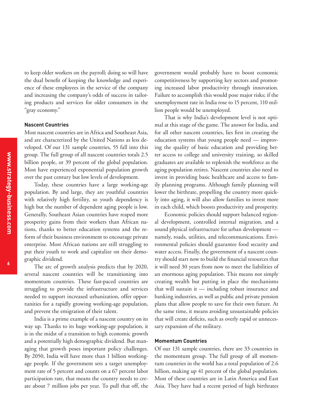to keep older workers on the payroll; doing so will have the dual benefit of keeping the knowledge and experience of these employees in the service of the company and increasing the company's odds of success in tailoring products and services for older consumers in the "gray economy."

#### **Nascent Countries**

Most nascent countries are in Africa and Southeast Asia, and are characterized by the United Nations as less developed. Of our 131 sample countries, 55 fall into this group. The full group of all nascent countries totals 2.5 billion people, or 39 percent of the global population. Most have experienced exponential population growth over the past century but low levels of development.

Today, these countries have a large working-age population. By and large, they are youthful countries with relatively high fertility, so youth dependency is high but the number of dependent aging people is low. Generally, Southeast Asian countries have reaped more prosperity gains from their workers than African nations, thanks to better education systems and the reform of their business environment to encourage private enterprise. Most African nations are still struggling to put their youth to work and capitalize on their demographic dividend.

The arc of growth analysis predicts that by 2020, several nascent countries will be transitioning into momentum countries. These fast-paced countries are struggling to provide the infrastructure and services needed to support increased urbanization, offer opportunities for a rapidly growing working-age population, and prevent the emigration of their talent.

India is a prime example of a nascent country on its way up. Thanks to its huge working-age population, it is in the midst of a transition to high economic growth and a potentially high demographic dividend. But managing that growth poses important policy challenges. By 2050, India will have more than 1 billion workingage people. If the government sets a target unemployment rate of 5 percent and counts on a 67 percent labor participation rate, that means the country needs to create about 7 million jobs per year. To pull that off, the government would probably have to boost economic competitiveness by supporting key sectors and promoting increased labor productivity through innovation. Failure to accomplish this would pose major risks; if the unemployment rate in India rose to 15 percent, 110 million people would be unemployed.

That is why India's development level is not optimal at this stage of the game. The answer for India, and for all other nascent countries, lies first in creating the education systems that young people need — improving the quality of basic education and providing better access to college and university training, so skilled graduates are available to replenish the workforce as the aging population retires. Nascent countries also need to invest in providing basic healthcare and access to family planning programs. Although family planning will lower the birthrate, propelling the country more quickly into aging, it will also allow families to invest more in each child, which boosts productivity and prosperity.

Economic policies should support balanced regional development, controlled internal migration, and a sound physical infrastructure for urban development namely, roads, utilities, and telecommunications. Environmental policies should guarantee food security and water access. Finally, the government of a nascent country should start now to build the financial resources that it will need 30 years from now to meet the liabilities of an enormous aging population. This means not simply creating wealth but putting in place the mechanisms that will sustain it — including robust insurance and banking industries, as well as public and private pension plans that allow people to save for their own future. At the same time, it means avoiding unsustainable policies that will create deficits, such as overly rapid or unnecessary expansion of the military.

#### **Momentum Countries**

Of our 131 sample countries, there are 33 countries in the momentum group. The full group of all momentum countries in the world has a total population of 2.6 billion, making up 41 percent of the global population. Most of these countries are in Latin America and East Asia. They have had a recent period of high birthrates

**6**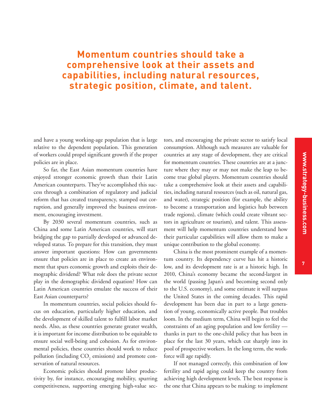### **Momentum countries should take a comprehensive look at their assets and capabilities, including natural resources, strategic position, climate, and talent.**

and have a young working-age population that is large relative to the dependent population. This generation of workers could propel significant growth if the proper policies are in place.

So far, the East Asian momentum countries have enjoyed stronger economic growth than their Latin American counterparts. They've accomplished this success through a combination of regulatory and judicial reform that has created transparency, stamped out corruption, and generally improved the business environment, encouraging investment.

By 2030 several momentum countries, such as China and some Latin American countries, will start bridging the gap to partially developed or advanced developed status. To prepare for this transition, they must answer important questions: How can governments ensure that policies are in place to create an environment that spurs economic growth and exploits their demographic dividend? What role does the private sector play in the demographic dividend equation? How can Latin American countries emulate the success of their East Asian counterparts?

In momentum countries, social policies should focus on education, particularly higher education, and the development of skilled talent to fulfill labor market needs. Also, as these countries generate greater wealth, it is important for income distribution to be equitable to ensure social well-being and cohesion. As for environmental policies, these countries should work to reduce pollution (including  $\mathrm{CO}_2$  emissions) and promote conservation of natural resources.

Economic policies should promote labor productivity by, for instance, encouraging mobility, spurring competitiveness, supporting emerging high-value sec-

tors, and encouraging the private sector to satisfy local consumption. Although such measures are valuable for countries at any stage of development, they are critical for momentum countries. These countries are at a juncture where they may or may not make the leap to become true global players. Momentum countries should take a comprehensive look at their assets and capabilities, including natural resources (such as oil, natural gas, and water), strategic position (for example, the ability to become a transportation and logistics hub between trade regions), climate (which could create vibrant sectors in agriculture or tourism), and talent. This assessment will help momentum countries understand how their particular capabilities will allow them to make a unique contribution to the global economy.

China is the most prominent example of a momentum country. Its dependency curve has hit a historic low, and its development rate is at a historic high. In 2010, China's economy became the second-largest in the world (passing Japan's and becoming second only to the U.S. economy), and some estimate it will surpass the United States in the coming decades. This rapid development has been due in part to a large generation of young, economically active people. But troubles loom. In the medium term, China will begin to feel the constraints of an aging population and low fertility thanks in part to the one-child policy that has been in place for the last 30 years, which cut sharply into its pool of prospective workers. In the long term, the workforce will age rapidly.

If not managed correctly, this combination of low fertility and rapid aging could keep the country from achieving high development levels. The best response is the one that China appears to be making: to implement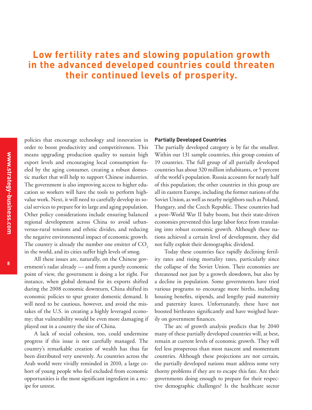# **Low fertility rates and slowing population growth in the advanced developed countries could threaten their continued levels of prosperity.**

policies that encourage technology and innovation in order to boost productivity and competitiveness. This means upgrading production quality to sustain high export levels and encouraging local consumption fueled by the aging consumer, creating a robust domestic market that will help to support Chinese industries. The government is also improving access to higher education so workers will have the tools to perform highvalue work. Next, it will need to carefully develop its social services to prepare for its large and aging population. Other policy considerations include ensuring balanced regional development across China to avoid urbanversus-rural tensions and ethnic divides, and reducing the negative environmental impact of economic growth. The country is already the number one emitter of CO<sub>2</sub> in the world, and its cities suffer high levels of smog.

All these issues are, naturally, on the Chinese government's radar already — and from a purely economic point of view, the government is doing a lot right. For instance, when global demand for its exports shifted during the 2008 economic downturn, China shifted its economic policies to spur greater domestic demand. It will need to be cautious, however, and avoid the mistakes of the U.S. in creating a highly leveraged economy; that vulnerability would be even more damaging if played out in a country the size of China.

A lack of social cohesion, too, could undermine progress if this issue is not carefully managed. The country's remarkable creation of wealth has thus far been distributed very unevenly. As countries across the Arab world were vividly reminded in 2010, a large cohort of young people who feel excluded from economic opportunities is the most significant ingredient in a recipe for unrest.

#### **Partially Developed Countries**

The partially developed category is by far the smallest. Within our 131 sample countries, this group consists of 19 countries. The full group of all partially developed countries has about 320 million inhabitants, or 5 percent of the world's population. Russia accounts for nearly half of this population; the other countries in this group are all in eastern Europe, including the former nations of the Soviet Union, as well as nearby neighbors such as Poland, Hungary, and the Czech Republic. These countries had a post–World War II baby boom, but their state-driven economies prevented this large labor force from translating into robust economic growth. Although these nations achieved a certain level of development, they did not fully exploit their demographic dividend.

Today these countries face rapidly declining fertility rates and rising mortality rates, particularly since the collapse of the Soviet Union. Their economies are threatened not just by a growth slowdown, but also by a decline in population. Some governments have tried various programs to encourage more births, including housing benefits, stipends, and lengthy paid maternity and paternity leaves. Unfortunately, these have not boosted birthrates significantly and have weighed heavily on government finances.

The arc of growth analysis predicts that by 2040 many of these partially developed countries will, at best, remain at current levels of economic growth. They will feel less prosperous than most nascent and momentum countries. Although these projections are not certain, the partially developed nations must address some very thorny problems if they are to escape this fate. Are their governments doing enough to prepare for their respective demographic challenges? Is the healthcare sector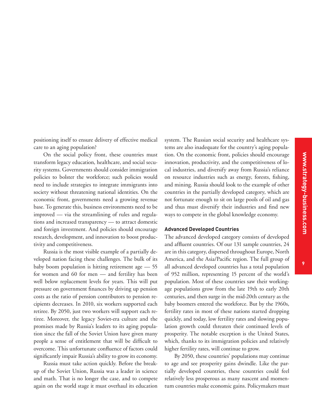positioning itself to ensure delivery of effective medical care to an aging population?

On the social policy front, these countries must transform legacy education, healthcare, and social security systems. Governments should consider immigration policies to bolster the workforce; such policies would need to include strategies to integrate immigrants into society without threatening national identities. On the economic front, governments need a growing revenue base. To generate this, business environments need to be improved — via the streamlining of rules and regulations and increased transparency — to attract domestic and foreign investment. And policies should encourage research, development, and innovation to boost productivity and competitiveness.

Russia is the most visible example of a partially developed nation facing these challenges. The bulk of its baby boom population is hitting retirement age — 55 for women and 60 for men — and fertility has been well below replacement levels for years. This will put pressure on government finances by driving up pension costs as the ratio of pension contributors to pension recipients decreases. In 2010, six workers supported each retiree. By 2050, just two workers will support each retiree. Moreover, the legacy Soviet-era culture and the promises made by Russia's leaders to its aging population since the fall of the Soviet Union have given many people a sense of entitlement that will be difficult to overcome. This unfortunate confluence of factors could significantly impair Russia's ability to grow its economy.

Russia must take action quickly. Before the breakup of the Soviet Union, Russia was a leader in science and math. That is no longer the case, and to compete again on the world stage it must overhaul its education system. The Russian social security and healthcare systems are also inadequate for the country's aging population. On the economic front, policies should encourage innovation, productivity, and the competitiveness of local industries, and diversify away from Russia's reliance on resource industries such as energy, forests, fishing, and mining. Russia should look to the example of other countries in the partially developed category, which are not fortunate enough to sit on large pools of oil and gas and thus must diversify their industries and find new ways to compete in the global knowledge economy.

#### **Advanced Developed Countries**

The advanced developed category consists of developed and affluent countries. Of our 131 sample countries, 24 are in this category, dispersed throughout Europe, North America, and the Asia/Pacific region. The full group of all advanced developed countries has a total population of 952 million, representing 15 percent of the world's population. Most of these countries saw their workingage populations grow from the late 19th to early 20th centuries, and then surge in the mid-20th century as the baby boomers entered the workforce. But by the 1960s, fertility rates in most of these nations started dropping quickly, and today, low fertility rates and slowing population growth could threaten their continued levels of prosperity. The notable exception is the United States, which, thanks to its immigration policies and relatively higher fertility rates, will continue to grow.

By 2050, these countries' populations may continue to age and see prosperity gains dwindle. Like the partially developed countries, these countries could feel relatively less prosperous as many nascent and momentum countries make economic gains. Policymakers must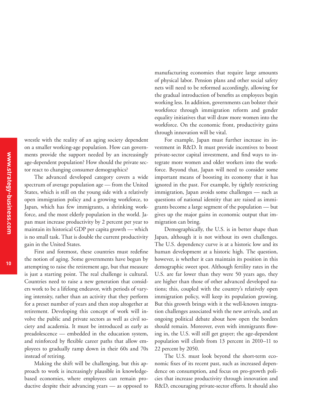wrestle with the reality of an aging society dependent on a smaller working-age population. How can governments provide the support needed by an increasingly age-dependent population? How should the private sector react to changing consumer demographics?

The advanced developed category covers a wide spectrum of average population age — from the United States, which is still on the young side with a relatively open immigration policy and a growing workforce, to Japan, which has few immigrants, a shrinking workforce, and the most elderly population in the world. Japan must increase productivity by 2 percent per year to maintain its historical GDP per capita growth — which is no small task. That is double the current productivity gain in the United States.

First and foremost, these countries must redefine the notion of aging. Some governments have begun by attempting to raise the retirement age, but that measure is just a starting point. The real challenge is cultural. Countries need to raise a new generation that considers work to be a lifelong endeavor, with periods of varying intensity, rather than an activity that they perform for a preset number of years and then stop altogether at retirement. Developing this concept of work will involve the public and private sectors as well as civil society and academia. It must be introduced as early as preadolescence — embedded in the education system, and reinforced by flexible career paths that allow employees to gradually ramp down in their 60s and 70s instead of retiring.

Making the shift will be challenging, but this approach to work is increasingly plausible in knowledgebased economies, where employees can remain productive despite their advancing years — as opposed to

manufacturing economies that require large amounts of physical labor. Pension plans and other social safety nets will need to be reformed accordingly, allowing for the gradual introduction of benefits as employees begin working less. In addition, governments can bolster their workforce through immigration reform and gender equality initiatives that will draw more women into the workforce. On the economic front, productivity gains through innovation will be vital.

For example, Japan must further increase its investment in R&D. It must provide incentives to boost private-sector capital investment, and find ways to integrate more women and older workers into the workforce. Beyond that, Japan will need to consider some important means of boosting its economy that it has ignored in the past. For example, by tightly restricting immigration, Japan avoids some challenges — such as questions of national identity that are raised as immigrants become a large segment of the population — but gives up the major gains in economic output that immigration can bring.

Demographically, the U.S. is in better shape than Japan, although it is not without its own challenges. The U.S. dependency curve is at a historic low and its human development at a historic high. The question, however, is whether it can maintain its position in this demographic sweet spot. Although fertility rates in the U.S. are far lower than they were 50 years ago, they are higher than those of other advanced developed nations; this, coupled with the country's relatively open immigration policy, will keep its population growing. But this growth brings with it the well-known integration challenges associated with the new arrivals, and an ongoing political debate about how open the borders should remain. Moreover, even with immigrants flowing in, the U.S. will still get grayer; the age-dependent population will climb from 13 percent in 2010–11 to 22 percent by 2050.

The U.S. must look beyond the short-term economic fixes of its recent past, such as increased dependence on consumption, and focus on pro-growth policies that increase productivity through innovation and R&D, encouraging private-sector efforts. It should also